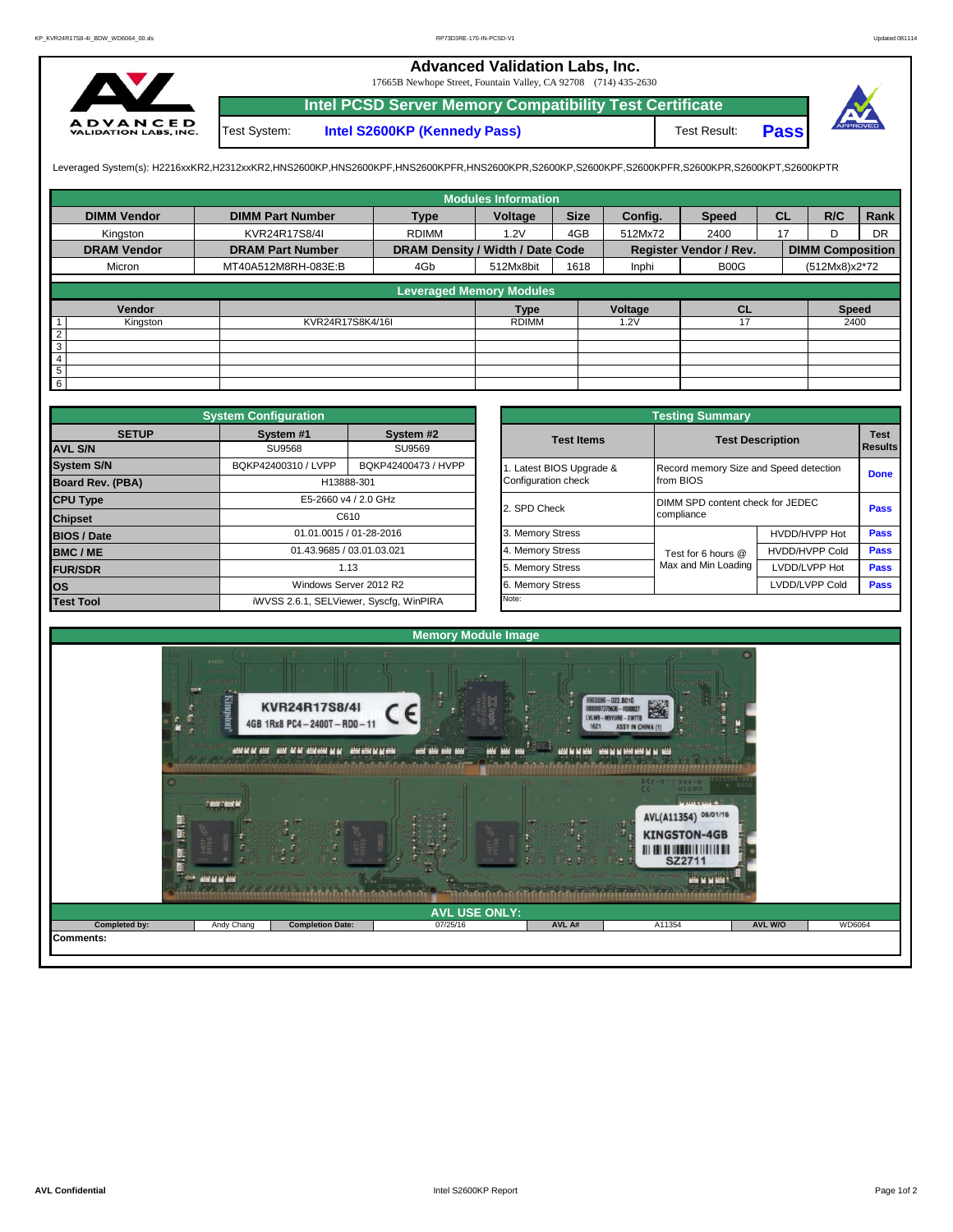## **Advanced Validation Labs, Inc.**

17665B Newhope Street, Fountain Valley, CA 92708 (714) 435-2630



**Intel PCSD Server Memory Compatibility Test Certificate Pass** Test System: **Intel S2600KP (Kennedy Pass)** Test Result:



Leveraged System(s): H2216xxKR2,H2312xxKR2,HNS2600KP,HNS2600KPF,HNS2600KPFR,HNS2600KPR,S2600KP,S2600KPF,S2600KPFR,S2600KPR,S2600KPT,S2600KPTR

|                    |                         |                                  | <b>Modules Information</b> |             |         |                               |           |                         |           |
|--------------------|-------------------------|----------------------------------|----------------------------|-------------|---------|-------------------------------|-----------|-------------------------|-----------|
| <b>DIMM Vendor</b> | <b>DIMM Part Number</b> | <b>Type</b>                      | Voltage                    | <b>Size</b> | Config. | <b>Speed</b>                  | <b>CL</b> | R/C                     | Rank      |
| Kingston           | KVR24R17S8/4I           | <b>RDIMM</b>                     | 1.2V                       | 4GB         | 512Mx72 | 2400                          | 17        | D                       | <b>DR</b> |
| <b>DRAM Vendor</b> | <b>DRAM Part Number</b> | DRAM Density / Width / Date Code |                            |             |         | Register Vendor / Rev.        |           | <b>DIMM Composition</b> |           |
| Micron             | MT40A512M8RH-083E:B     | 4Gb                              | 512Mx8bit                  | 1618        | Inphi   | B <sub>0</sub> O <sub>G</sub> |           | (512Mx8)x2*72           |           |
|                    |                         | <b>Leveraged Memory Modules</b>  |                            |             |         |                               |           |                         |           |
|                    |                         |                                  |                            |             |         |                               |           |                         |           |
| Vendor             |                         |                                  | <b>Type</b>                |             | Voltage | CL                            |           | <b>Speed</b>            |           |
| Kingston           | KVR24R17S8K4/16I        |                                  | <b>RDIMM</b>               |             | 1.2V    | 17                            |           | 2400                    |           |
| $rac{2}{3}$        |                         |                                  |                            |             |         |                               |           |                         |           |
|                    |                         |                                  |                            |             |         |                               |           |                         |           |
| $\overline{4}$     |                         |                                  |                            |             |         |                               |           |                         |           |
| $\overline{5}$     |                         |                                  |                            |             |         |                               |           |                         |           |
| $6\overline{6}$    |                         |                                  |                            |             |         |                               |           |                         |           |

|                    | <b>System Configuration</b> |                                         | <b>Testing Summary</b> |                                        |                       |             |  |  |  |  |
|--------------------|-----------------------------|-----------------------------------------|------------------------|----------------------------------------|-----------------------|-------------|--|--|--|--|
| <b>SETUP</b>       | System #1                   | System #2                               | <b>Test Items</b>      | <b>Test Description</b>                | <b>Test</b>           |             |  |  |  |  |
| <b>AVL S/N</b>     | <b>SU9568</b>               | SU9569                                  |                        |                                        | Results               |             |  |  |  |  |
| <b>System S/N</b>  | BQKP42400310 / LVPP         | BQKP42400473 / HVPP                     | Latest BIOS Upgrade &  | Record memory Size and Speed detection |                       | <b>Done</b> |  |  |  |  |
| Board Rev. (PBA)   |                             | H13888-301                              | Configuration check    | from BIOS                              |                       |             |  |  |  |  |
| <b>CPU Type</b>    |                             | E5-2660 v4 / 2.0 GHz                    | 2. SPD Check           | DIMM SPD content check for JEDEC       | <b>Pass</b>           |             |  |  |  |  |
| <b>Chipset</b>     |                             | C610                                    |                        | compliance                             |                       |             |  |  |  |  |
| <b>BIOS / Date</b> |                             | 01.01.0015 / 01-28-2016                 | 3. Memory Stress       |                                        | HVDD/HVPP Hot         | <b>Pass</b> |  |  |  |  |
| BMC/ME             |                             | 01.43.9685 / 03.01.03.021               | 4. Memory Stress       | Test for 6 hours @                     | <b>HVDD/HVPP Cold</b> | <b>Pass</b> |  |  |  |  |
| <b>FUR/SDR</b>     |                             | 1.13                                    | 5. Memory Stress       | Max and Min Loading                    | LVDD/LVPP Hot         | Pass        |  |  |  |  |
| los                |                             | Windows Server 2012 R2                  | 6. Memory Stress       |                                        | LVDD/LVPP Cold        | Pass        |  |  |  |  |
| <b>Test Tool</b>   |                             | iWVSS 2.6.1, SELViewer, Syscfq, WinPIRA | Note:                  |                                        |                       |             |  |  |  |  |

|              | <b>System Configuration</b> |                                         |                                                                 | <b>Testing Summary</b>                 |                                  |                |  |
|--------------|-----------------------------|-----------------------------------------|-----------------------------------------------------------------|----------------------------------------|----------------------------------|----------------|--|
| <b>SETUP</b> | System #1                   | System #2                               | <b>Test Items</b>                                               | <b>Test Description</b>                |                                  |                |  |
|              | <b>SU9568</b>               | SU9569                                  |                                                                 |                                        |                                  | <b>Results</b> |  |
|              | BQKP42400310 / LVPP         | BQKP42400473 / HVPP                     | Latest BIOS Upgrade &                                           | Record memory Size and Speed detection |                                  |                |  |
| PBA)         |                             | H13888-301                              | Configuration check                                             | from BIOS                              |                                  | <b>Done</b>    |  |
|              |                             | E5-2660 v4 / 2.0 GHz                    | 2. SPD Check                                                    |                                        | DIMM SPD content check for JEDEC |                |  |
|              |                             | C610                                    |                                                                 | compliance                             |                                  |                |  |
|              |                             | 01.01.0015 / 01-28-2016                 | 3. Memory Stress                                                |                                        | HVDD/HVPP Hot                    | Pass           |  |
|              | 01.43.9685 / 03.01.03.021   |                                         | 4. Memory Stress<br><b>HVDD/HVPP Cold</b><br>Test for 6 hours @ |                                        | Pass                             |                |  |
|              |                             | 1.13                                    | 5. Memory Stress                                                | Max and Min Loading                    | LVDD/LVPP Hot                    | Pass           |  |
|              |                             | Windows Server 2012 R2                  | 6. Memory Stress                                                |                                        | LVDD/LVPP Cold                   | Pass           |  |
|              |                             | iWVSS 2.6.1, SELViewer, Syscfq, WinPIRA | Note:                                                           |                                        |                                  |                |  |